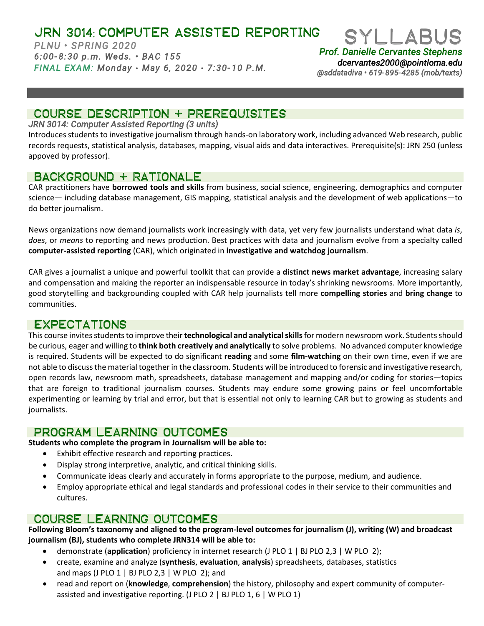# JRN 3014: COMPUTER ASSISTED REPORTING

*PLNU • SPRING 2020 6:00- 8:30 p.m. Weds. • BAC 155 FINAL EXAM: Monday* • *May 6, 2020* • *7:30- 10 P.M.* 



*dcervantes2000@pointloma.edu @sddatadiva • 619-895-4285 (mob/texts)* 

# COURSE DESCRIPTION + PREREQUISITES

### *JRN 3014: Computer Assisted Reporting (3 units)*

Introduces students to investigative journalism through hands-on laboratory work, including advanced Web research, public records requests, statistical analysis, databases, mapping, visual aids and data interactives. Prerequisite(s): JRN 250 (unless appoved by professor).

## Background + rationale

CAR practitioners have **borrowed tools and skills** from business, social science, engineering, demographics and computer science— including database management, GIS mapping, statistical analysis and the development of web applications—to do better journalism.

News organizations now demand journalists work increasingly with data, yet very few journalists understand what data *is*, *does*, or *means* to reporting and news production. Best practices with data and journalism evolve from a specialty called **computer-assisted reporting** (CAR), which originated in **investigative and watchdog journalism**.

CAR gives a journalist a unique and powerful toolkit that can provide a **distinct news market advantage**, increasing salary and compensation and making the reporter an indispensable resource in today's shrinking newsrooms. More importantly, good storytelling and backgrounding coupled with CAR help journalists tell more **compelling stories** and **bring change** to communities.

## Expectations

This course invites students to improve their **technological and analytical skills** for modern newsroom work. Students should be curious, eager and willing to **think both creatively and analytically** to solve problems. No advanced computer knowledge is required. Students will be expected to do significant **reading** and some **film-watching** on their own time, even if we are not able to discuss the material together in the classroom. Students will be introduced to forensic and investigative research, open records law, newsroom math, spreadsheets, database management and mapping and/or coding for stories—topics that are foreign to traditional journalism courses. Students may endure some growing pains or feel uncomfortable experimenting or learning by trial and error, but that is essential not only to learning CAR but to growing as students and journalists.

## PROGRAM LEARNING OUTCOMES

### **Students who complete the program in Journalism will be able to:**

- Exhibit effective research and reporting practices.
- Display strong interpretive, analytic, and critical thinking skills.
- Communicate ideas clearly and accurately in forms appropriate to the purpose, medium, and audience.
- Employ appropriate ethical and legal standards and professional codes in their service to their communities and cultures.

## Course LEARNING outcomes

**Following Bloom's taxonomy and aligned to the program-level outcomes for journalism (J), writing (W) and broadcast journalism (BJ), students who complete JRN314 will be able to:**

- demonstrate (**application**) proficiency in internet research (J PLO 1 | BJ PLO 2,3 | W PLO 2);
- create, examine and analyze (**synthesis**, **evaluation**, **analysis**) spreadsheets, databases, statistics and maps (J PLO  $1 \mid$  BJ PLO  $2,3 \mid$  W PLO  $2$ ); and
- read and report on (**knowledge**, **comprehension**) the history, philosophy and expert community of computerassisted and investigative reporting. (J PLO 2 | BJ PLO 1, 6 | W PLO 1)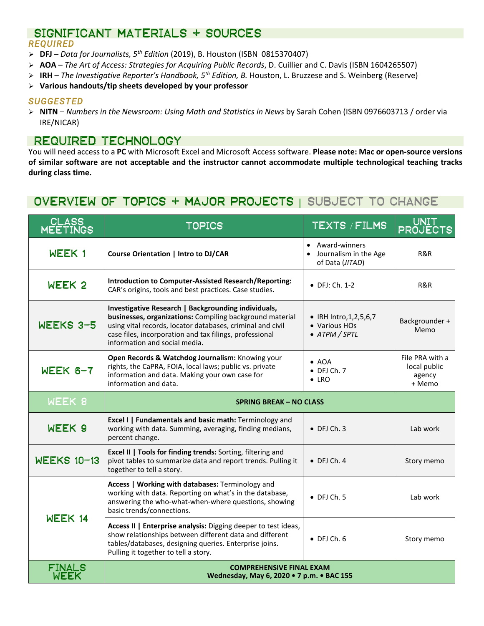## SIGNIFICANT MATERIALS + SOURCES *REQUIRED*

- **DFJ** *Data for Journalists, 5th Edition* (2019), B. Houston (ISBN 0815370407)
- **AOA** *The Art of Access: Strategies for Acquiring Public Records*, D. Cuillier and C. Davis (ISBN 1604265507)
- **IRH** *The Investigative Reporter's Handbook, 5th Edition, B.* Houston, L. Bruzzese and S. Weinberg (Reserve)
- **Various handouts/tip sheets developed by your professor**

## *SUGGESTED*

 **NITN** – *Numbers in the Newsroom: Using Math and Statistics in News* by Sarah Cohen (ISBN 0976603713 / order via IRE/NICAR)

## Required technology

You will need access to a **PC** with Microsoft Excel and Microsoft Access software. **Please note: Mac or open-source versions of similar software are not acceptable and the instructor cannot accommodate multiple technological teaching tracks during class time.**

# Overview of topics + major projects | SUBJECT TO CHANGE

| CLASS<br>MEETING   | <b>TOPICS</b>                                                                                                                                                                                                                                                             | TEXTS / FILMS                                                | <b>UNIT</b><br><b>PROJECTS</b>                      |  |  |  |  |  |
|--------------------|---------------------------------------------------------------------------------------------------------------------------------------------------------------------------------------------------------------------------------------------------------------------------|--------------------------------------------------------------|-----------------------------------------------------|--|--|--|--|--|
| WEEK 1             | Course Orientation   Intro to DJ/CAR                                                                                                                                                                                                                                      | Award-winners<br>Journalism in the Age<br>of Data (JITAD)    | R&R                                                 |  |  |  |  |  |
| WEEK <sub>2</sub>  | <b>Introduction to Computer-Assisted Research/Reporting:</b><br>CAR's origins, tools and best practices. Case studies.                                                                                                                                                    | $\bullet$ DFJ: Ch. 1-2                                       | R&R                                                 |  |  |  |  |  |
| WEEKS 3-5          | Investigative Research   Backgrounding individuals,<br>businesses, organizations: Compiling background material<br>using vital records, locator databases, criminal and civil<br>case files, incorporation and tax filings, professional<br>information and social media. | • IRH Intro, 1, 2, 5, 6, 7<br>• Various HOs<br>• ATPM / SPTL | Backgrounder +<br>Memo                              |  |  |  |  |  |
| $WEEK 6-7$         | Open Records & Watchdog Journalism: Knowing your<br>rights, the CaPRA, FOIA, local laws; public vs. private<br>information and data. Making your own case for<br>information and data.                                                                                    | $\bullet$ AOA<br>$\bullet$ DFJ Ch. 7<br>$\bullet$ LRO        | File PRA with a<br>local public<br>agency<br>+ Memo |  |  |  |  |  |
| WEEK 8             | <b>SPRING BREAK - NO CLASS</b>                                                                                                                                                                                                                                            |                                                              |                                                     |  |  |  |  |  |
| WEEK 9             | Excel I   Fundamentals and basic math: Terminology and<br>working with data. Summing, averaging, finding medians,<br>percent change.                                                                                                                                      | $\bullet$ DFJ Ch. 3                                          | Lab work                                            |  |  |  |  |  |
| <b>WEEKS 10-13</b> | Excel II   Tools for finding trends: Sorting, filtering and<br>pivot tables to summarize data and report trends. Pulling it<br>together to tell a story.                                                                                                                  | $\bullet$ DFJ Ch. 4                                          | Story memo                                          |  |  |  |  |  |
|                    | Access   Working with databases: Terminology and<br>working with data. Reporting on what's in the database,<br>answering the who-what-when-where questions, showing<br>basic trends/connections.                                                                          | $\bullet$ DFJ Ch. 5                                          | Lab work                                            |  |  |  |  |  |
| WEEK 14            | Access II   Enterprise analysis: Digging deeper to test ideas,<br>show relationships between different data and different<br>tables/databases, designing queries. Enterprise joins.<br>Pulling it together to tell a story.                                               | $\bullet$ DFJ Ch. 6                                          | Story memo                                          |  |  |  |  |  |
| FINALS<br>WEEK     | <b>COMPREHENSIVE FINAL EXAM</b><br>Wednesday, May 6, 2020 . 7 p.m. . BAC 155                                                                                                                                                                                              |                                                              |                                                     |  |  |  |  |  |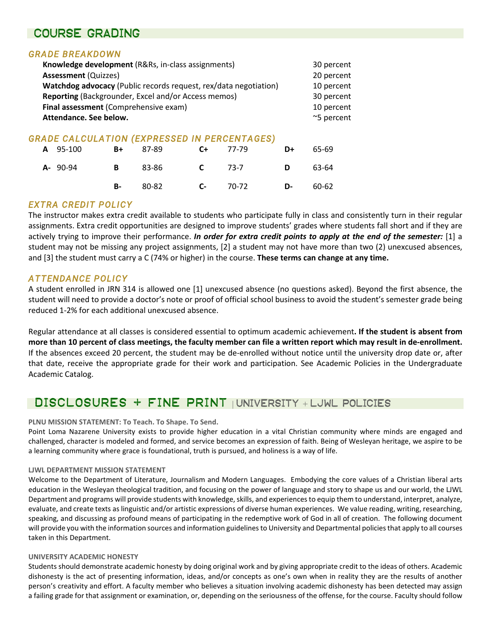## Course grading

## *GRADE BREAKDOWN*

| Knowledge development (R&Rs, in-class assignments)                                                                                                                                         |             |   |       |  |      |  | 30 percent                             |                                              |    |       |    |       |    |       |  |  |  |
|--------------------------------------------------------------------------------------------------------------------------------------------------------------------------------------------|-------------|---|-------|--|------|--|----------------------------------------|----------------------------------------------|----|-------|----|-------|----|-------|--|--|--|
| <b>Assessment (Quizzes)</b>                                                                                                                                                                | 20 percent  |   |       |  |      |  |                                        |                                              |    |       |    |       |    |       |  |  |  |
| Watchdog advocacy (Public records request, rex/data negotiation)<br>Reporting (Backgrounder, Excel and/or Access memos)<br>Final assessment (Comprehensive exam)<br>Attendance. See below. |             |   |       |  |      |  | 10 percent<br>30 percent<br>10 percent |                                              |    |       |    |       |    |       |  |  |  |
|                                                                                                                                                                                            |             |   |       |  |      |  |                                        | ~5 percent                                   |    |       |    |       |    |       |  |  |  |
|                                                                                                                                                                                            |             |   |       |  |      |  |                                        | GRADE CALCULATION (EXPRESSED IN PERCENTAGES) |    |       |    |       |    |       |  |  |  |
|                                                                                                                                                                                            |             |   |       |  |      |  | A                                      | 95-100                                       | B+ | 87-89 | C+ | 77-79 | D+ | 65-69 |  |  |  |
|                                                                                                                                                                                            | $A - 90-94$ | В | 83-86 |  | 73-7 |  | 63-64                                  |                                              |    |       |    |       |    |       |  |  |  |

### *EXTRA CREDIT POLICY*

The instructor makes extra credit available to students who participate fully in class and consistently turn in their regular assignments. Extra credit opportunities are designed to improve students' grades where students fall short and if they are actively trying to improve their performance. *In order for extra credit points to apply at the end of the semester:* [1] a student may not be missing any project assignments, [2] a student may not have more than two (2) unexcused absences, and [3] the student must carry a C (74% or higher) in the course. **These terms can change at any time.**

**B-** 80-82 **C-** 70-72 **D-** 60-62

### *ATTENDANCE POLICY*

A student enrolled in JRN 314 is allowed one [1] unexcused absence (no questions asked). Beyond the first absence, the student will need to provide a doctor's note or proof of official school business to avoid the student's semester grade being reduced 1-2% for each additional unexcused absence.

Regular attendance at all classes is considered essential to optimum academic achievement**. If the student is absent from more than 10 percent of class meetings, the faculty member can file a written report which may result in de-enrollment.** If the absences exceed 20 percent, the student may be de-enrolled without notice until the university drop date or, after that date, receive the appropriate grade for their work and participation. See Academic Policies in the Undergraduate Academic Catalog.

## Disclosures + fine print | UNIVERSITY + LJWL POLICIES

### **PLNU MISSION STATEMENT: To Teach. To Shape. To Send.**

Point Loma Nazarene University exists to provide higher education in a vital Christian community where minds are engaged and challenged, character is modeled and formed, and service becomes an expression of faith. Being of Wesleyan heritage, we aspire to be a learning community where grace is foundational, truth is pursued, and holiness is a way of life.

### **LJWL DEPARTMENT MISSION STATEMENT**

Welcome to the Department of Literature, Journalism and Modern Languages. Embodying the core values of a Christian liberal arts education in the Wesleyan theological tradition, and focusing on the power of language and story to shape us and our world, the LJWL Department and programs will provide students with knowledge, skills, and experiences to equip them to understand, interpret, analyze, evaluate, and create texts as linguistic and/or artistic expressions of diverse human experiences. We value reading, writing, researching, speaking, and discussing as profound means of participating in the redemptive work of God in all of creation. The following document will provide you with the information sources and information guidelines to University and Departmental policies that apply to all courses taken in this Department.

### **UNIVERSITY ACADEMIC HONESTY**

Students should demonstrate academic honesty by doing original work and by giving appropriate credit to the ideas of others. Academic dishonesty is the act of presenting information, ideas, and/or concepts as one's own when in reality they are the results of another person's creativity and effort. A faculty member who believes a situation involving academic dishonesty has been detected may assign a failing grade for that assignment or examination, or, depending on the seriousness of the offense, for the course. Faculty should follow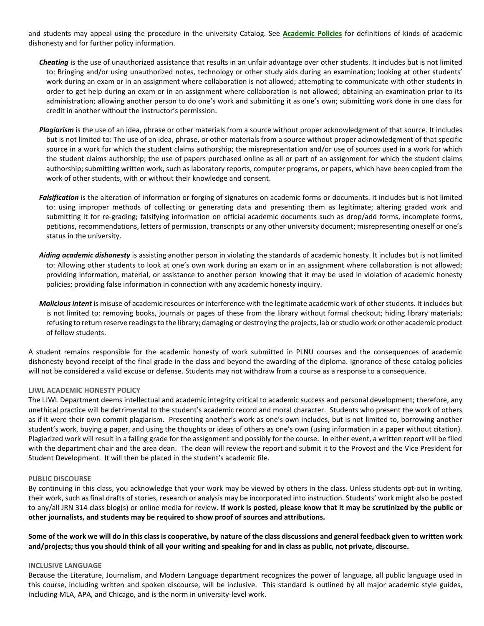and students may appeal using the procedure in the university Catalog. See **[Academic Policies](http://catalog.pointloma.edu/content.php?catoid=18&navoid=1278)** for definitions of kinds of academic dishonesty and for further policy information.

- *Cheating* is the use of unauthorized assistance that results in an unfair advantage over other students. It includes but is not limited to: Bringing and/or using unauthorized notes, technology or other study aids during an examination; looking at other students' work during an exam or in an assignment where collaboration is not allowed; attempting to communicate with other students in order to get help during an exam or in an assignment where collaboration is not allowed; obtaining an examination prior to its administration; allowing another person to do one's work and submitting it as one's own; submitting work done in one class for credit in another without the instructor's permission.
- *Plagiarism* is the use of an idea, phrase or other materials from a source without proper acknowledgment of that source. It includes but is not limited to: The use of an idea, phrase, or other materials from a source without proper acknowledgment of that specific source in a work for which the student claims authorship; the misrepresentation and/or use of sources used in a work for which the student claims authorship; the use of papers purchased online as all or part of an assignment for which the student claims authorship; submitting written work, such as laboratory reports, computer programs, or papers, which have been copied from the work of other students, with or without their knowledge and consent.
- *Falsification* is the alteration of information or forging of signatures on academic forms or documents. It includes but is not limited to: using improper methods of collecting or generating data and presenting them as legitimate; altering graded work and submitting it for re-grading; falsifying information on official academic documents such as drop/add forms, incomplete forms, petitions, recommendations, letters of permission, transcripts or any other university document; misrepresenting oneself or one's status in the university.
- *Aiding academic dishonesty* is assisting another person in violating the standards of academic honesty. It includes but is not limited to: Allowing other students to look at one's own work during an exam or in an assignment where collaboration is not allowed; providing information, material, or assistance to another person knowing that it may be used in violation of academic honesty policies; providing false information in connection with any academic honesty inquiry.
- *Malicious intent* is misuse of academic resources or interference with the legitimate academic work of other students. It includes but is not limited to: removing books, journals or pages of these from the library without formal checkout; hiding library materials; refusing to return reserve readings to the library; damaging or destroying the projects, lab or studio work or other academic product of fellow students.

A student remains responsible for the academic honesty of work submitted in PLNU courses and the consequences of academic dishonesty beyond receipt of the final grade in the class and beyond the awarding of the diploma. Ignorance of these catalog policies will not be considered a valid excuse or defense. Students may not withdraw from a course as a response to a consequence.

#### **LJWL ACADEMIC HONESTY POLICY**

The LJWL Department deems intellectual and academic integrity critical to academic success and personal development; therefore, any unethical practice will be detrimental to the student's academic record and moral character. Students who present the work of others as if it were their own commit plagiarism. Presenting another's work as one's own includes, but is not limited to, borrowing another student's work, buying a paper, and using the thoughts or ideas of others as one's own (using information in a paper without citation). Plagiarized work will result in a failing grade for the assignment and possibly for the course. In either event, a written report will be filed with the department chair and the area dean. The dean will review the report and submit it to the Provost and the Vice President for Student Development. It will then be placed in the student's academic file.

#### **PUBLIC DISCOURSE**

By continuing in this class, you acknowledge that your work may be viewed by others in the class. Unless students opt-out in writing, their work, such as final drafts of stories, research or analysis may be incorporated into instruction. Students' work might also be posted to any/all JRN 314 class blog(s) or online media for review. **If work is posted, please know that it may be scrutinized by the public or other journalists, and students may be required to show proof of sources and attributions.**

**Some of the work we will do in this class is cooperative, by nature of the class discussions and general feedback given to written work and/projects; thus you should think of all your writing and speaking for and in class as public, not private, discourse.**

#### **INCLUSIVE LANGUAGE**

Because the Literature, Journalism, and Modern Language department recognizes the power of language, all public language used in this course, including written and spoken discourse, will be inclusive. This standard is outlined by all major academic style guides, including MLA, APA, and Chicago, and is the norm in university-level work.